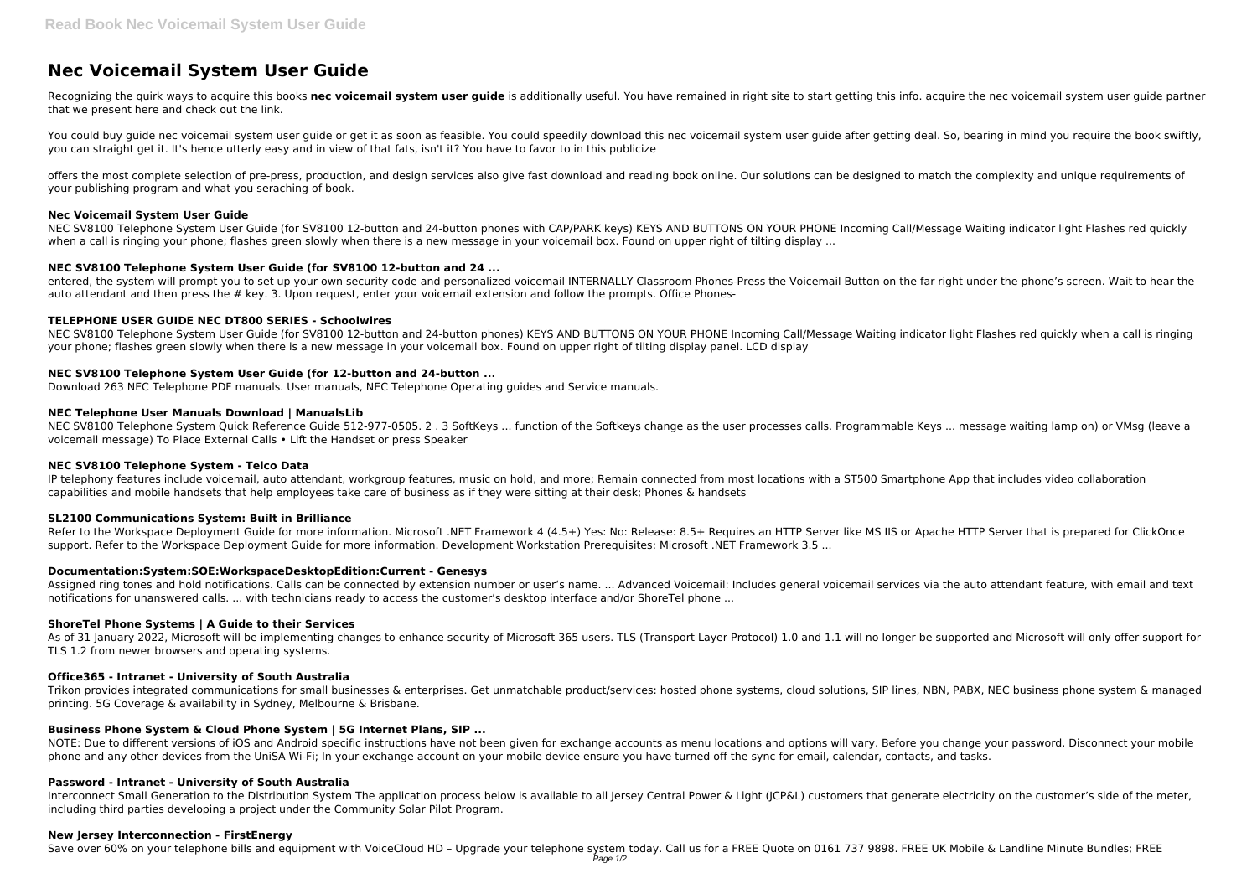# **Nec Voicemail System User Guide**

Recognizing the quirk ways to acquire this books **nec voicemail system user quide** is additionally useful. You have remained in right site to start getting this info. acquire the nec voicemail system user quide partner that we present here and check out the link.

You could buy guide nec voicemail system user guide or get it as soon as feasible. You could speedily download this nec voicemail system user guide after getting deal. So, bearing in mind you require the book swiftly, you can straight get it. It's hence utterly easy and in view of that fats, isn't it? You have to favor to in this publicize

NEC SV8100 Telephone System User Guide (for SV8100 12-button and 24-button phones with CAP/PARK keys) KEYS AND BUTTONS ON YOUR PHONE Incoming Call/Message Waiting indicator light Flashes red quickly when a call is ringing your phone; flashes green slowly when there is a new message in your voicemail box. Found on upper right of tilting display ...

offers the most complete selection of pre-press, production, and design services also give fast download and reading book online. Our solutions can be designed to match the complexity and unique requirements of your publishing program and what you seraching of book.

## **Nec Voicemail System User Guide**

NEC SV8100 Telephone System User Guide (for SV8100 12-button and 24-button phones) KEYS AND BUTTONS ON YOUR PHONE Incoming Call/Message Waiting indicator light Flashes red quickly when a call is ringing your phone; flashes green slowly when there is a new message in your voicemail box. Found on upper right of tilting display panel. LCD display

# **NEC SV8100 Telephone System User Guide (for SV8100 12-button and 24 ...**

IP telephony features include voicemail, auto attendant, workgroup features, music on hold, and more; Remain connected from most locations with a ST500 Smartphone App that includes video collaboration capabilities and mobile handsets that help employees take care of business as if they were sitting at their desk; Phones & handsets

entered, the system will prompt you to set up your own security code and personalized voicemail INTERNALLY Classroom Phones-Press the Voicemail Button on the far right under the phone's screen. Wait to hear the auto attendant and then press the # key. 3. Upon request, enter your voicemail extension and follow the prompts. Office Phones-

Refer to the Workspace Deployment Guide for more information. Microsoft .NET Framework 4 (4.5+) Yes: No: Release: 8.5+ Requires an HTTP Server like MS IIS or Apache HTTP Server that is prepared for ClickOnce support. Refer to the Workspace Deployment Guide for more information. Development Workstation Prerequisites: Microsoft .NET Framework 3.5 ...

# **TELEPHONE USER GUIDE NEC DT800 SERIES - Schoolwires**

As of 31 January 2022, Microsoft will be implementing changes to enhance security of Microsoft 365 users. TLS (Transport Layer Protocol) 1.0 and 1.1 will no longer be supported and Microsoft will only offer support for TLS 1.2 from newer browsers and operating systems.

# **NEC SV8100 Telephone System User Guide (for 12-button and 24-button ...**

Download 263 NEC Telephone PDF manuals. User manuals, NEC Telephone Operating guides and Service manuals.

# **NEC Telephone User Manuals Download | ManualsLib**

NOTE: Due to different versions of iOS and Android specific instructions have not been given for exchange accounts as menu locations and options will vary. Before you change your password. Disconnect your mobile phone and any other devices from the UniSA Wi-Fi; In your exchange account on your mobile device ensure you have turned off the sync for email, calendar, contacts, and tasks.

NEC SV8100 Telephone System Quick Reference Guide 512-977-0505. 2 . 3 SoftKeys ... function of the Softkeys change as the user processes calls. Programmable Keys ... message waiting lamp on) or VMsg (leave a voicemail message) To Place External Calls • Lift the Handset or press Speaker

Interconnect Small Generation to the Distribution System The application process below is available to all Iersey Central Power & Light (ICP&L) customers that generate electricity on the customer's side of the meter, including third parties developing a project under the Community Solar Pilot Program.

# **NEC SV8100 Telephone System - Telco Data**

# **SL2100 Communications System: Built in Brilliance**

# **Documentation:System:SOE:WorkspaceDesktopEdition:Current - Genesys**

Assigned ring tones and hold notifications. Calls can be connected by extension number or user's name. ... Advanced Voicemail: Includes general voicemail services via the auto attendant feature, with email and text notifications for unanswered calls. ... with technicians ready to access the customer's desktop interface and/or ShoreTel phone ...

# **ShoreTel Phone Systems | A Guide to their Services**

# **Office365 - Intranet - University of South Australia**

Trikon provides integrated communications for small businesses & enterprises. Get unmatchable product/services: hosted phone systems, cloud solutions, SIP lines, NBN, PABX, NEC business phone system & managed printing. 5G Coverage & availability in Sydney, Melbourne & Brisbane.

# **Business Phone System & Cloud Phone System | 5G Internet Plans, SIP ...**

# **Password - Intranet - University of South Australia**

# **New Jersey Interconnection - FirstEnergy**

Save over 60% on your telephone bills and equipment with VoiceCloud HD - Upgrade your telephone system today. Call us for a FREE Quote on 0161 737 9898. FREE UK Mobile & Landline Minute Bundles; FREE